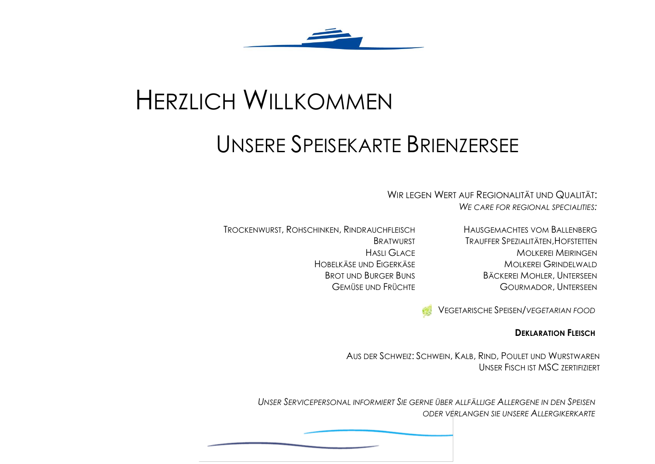

## **HERZLICH WILLKOMMEN**

## UNSERE SPEISEKARTE BRIENZERSEE

WIR LEGEN WERT AUF REGIONALITÄT UND QUALITÄT: WE CARE FOR REGIONAL SPECIALITIES.

TROCKENWURST, ROHSCHINKEN, RINDRAUCHFLEISCH **BRATWURST HASLI GLACE** HOBELKÄSE UND FIGERKÄSE **BROT UND BURGER BUNS GEMÜSE UND FRÜCHTE** 

HAUSGEMACHTES VOM BALLENBERG TRAUFFER SPEZIALITÄTEN. HOFSTETTEN **MOLKEREI MEIRINGEN MOIKEREL GRINDELWALD BÄCKEREI MOHLER, UNTERSEEN GOURMADOR, UNTERSEEN** 

**VEGETARISCHE SPEISEN/VEGETARIAN FOOD** 

## **DEKLARATION FLEISCH**

AUS DER SCHWEIZ: SCHWEIN, KALB, RIND, POULET UND WURSTWAREN UNSER FISCH IST MSC ZERTIFIZIERT

UNSER SERVICEPERSONAL INFORMIERT SIE GERNE ÜBER ALLFÄLLIGE ALLERGENE IN DEN SPEISEN ODER VERLANGEN SIE UNSERE ALLERGIKERKARTE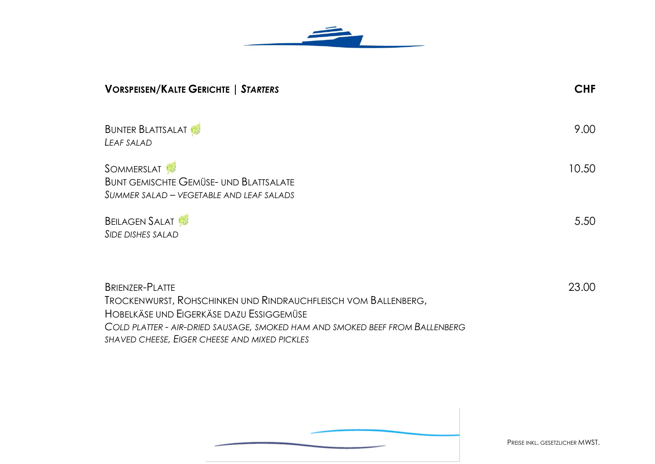

| <b>VORSPEISEN/KALTE GERICHTE   STARTERS</b>                                                                                                                                                                                                                           | <b>CHF</b> |
|-----------------------------------------------------------------------------------------------------------------------------------------------------------------------------------------------------------------------------------------------------------------------|------------|
| <b>BUNTER BLATTSALAT</b><br>LEAF SALAD                                                                                                                                                                                                                                | 9.00       |
| <b>SOMMERSLAT</b><br><b>BUNT GEMISCHTE GEMÜSE- UND BLATTSALATE</b><br>SUMMER SALAD — VEGETABLE AND LEAF SALADS                                                                                                                                                        | 10.50      |
| <b>BEILAGEN SALAT</b><br><b>SIDE DISHES SALAD</b>                                                                                                                                                                                                                     | 5.50       |
| <b>BRIENZER-PLATTE</b><br>TROCKENWURST, ROHSCHINKEN UND RINDRAUCHFLEISCH VOM BALLENBERG,<br>HOBELKÄSE UND EIGERKÄSE DAZU ESSIGGEMÜSE<br>COLD PLATTER - AIR-DRIED SAUSAGE, SMOKED HAM AND SMOKED BEEF FROM BALLENBERG<br>SHAVED CHEESE, EIGER CHEESE AND MIXED PICKLES | 23.00      |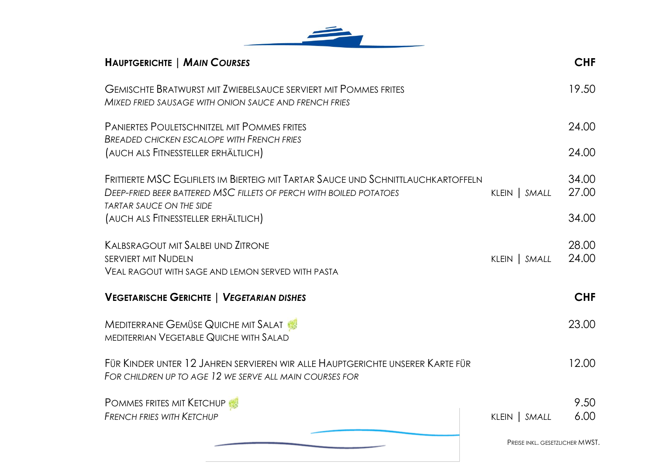

| <b>HAUPTGERICHTE   MAIN COURSES</b>                                                                                                                                                               |                                 | <b>CHF</b>     |
|---------------------------------------------------------------------------------------------------------------------------------------------------------------------------------------------------|---------------------------------|----------------|
| <b>GEMISCHTE BRATWURST MIT ZWIEBELSAUCE SERVIERT MIT POMMES FRITES</b><br>MIXED FRIED SAUSAGE WITH ONION SAUCE AND FRENCH FRIES                                                                   |                                 | 19.50          |
| <b>PANIERTES POULETSCHNITZEL MIT POMMES FRITES</b><br><b>BREADED CHICKEN ESCALOPE WITH FRENCH FRIES</b>                                                                                           |                                 | 24.00          |
| (AUCH ALS FITNESSTELLER ERHÄLTLICH)                                                                                                                                                               |                                 | 24.00          |
| FRITTIERTE MSC EGLIFILETS IM BIERTEIG MIT TARTAR SAUCE UND SCHNITTLAUCHKARTOFFELN<br><b>DEEP-FRIED BEER BATTERED MSC FILLETS OF PERCH WITH BOILED POTATOES</b><br><b>TARTAR SAUCE ON THE SIDE</b> | KLEIN   SMALL                   | 34.00<br>27.00 |
| (AUCH ALS FITNESSTELLER ERHÄLTLICH)                                                                                                                                                               |                                 | 34.00          |
| <b>KALBSRAGOUT MIT SALBEI UND ZITRONE</b><br><b>SERVIERT MIT NUDELN</b>                                                                                                                           |                                 | 28.00<br>24.00 |
| <b>VEAL RAGOUT WITH SAGE AND LEMON SERVED WITH PASTA</b>                                                                                                                                          | KLEIN   SMALL                   |                |
| <b>VEGETARISCHE GERICHTE   VEGETARIAN DISHES</b>                                                                                                                                                  |                                 | <b>CHF</b>     |
| <b>MEDITERRANE GEMÜSE QUICHE MIT SALAT</b><br>MEDITERRIAN VEGETABLE QUICHE WITH SALAD                                                                                                             |                                 | 23.00          |
| FÜR KINDER UNTER 12 JAHREN SERVIEREN WIR ALLE HAUPTGERICHTE UNSERER KARTE FÜR<br>FOR CHILDREN UP TO AGE 12 WE SERVE ALL MAIN COURSES FOR                                                          |                                 | 12.00          |
| <b>POMMES FRITES MIT KETCHUP</b>                                                                                                                                                                  |                                 | 9.50           |
| <b>FRENCH FRIES WITH KETCHUP</b>                                                                                                                                                                  | KLEIN   SMALL                   | 6.00           |
|                                                                                                                                                                                                   | PREISE INKL. GESETZLICHER MWST. |                |